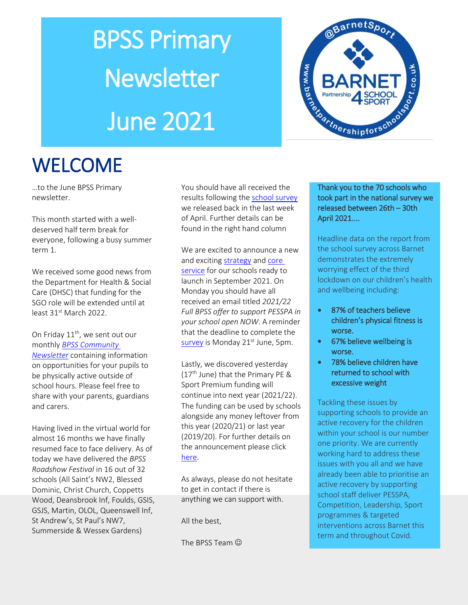# BPSS Primary **Newsletter** June 2021



# **WELCOME**

…to the June BPSS Primary newsletter.

This month started with a welldeserved half term break for everyone, following a busy summer term 1.

We received some good news from the Department for Health & Social Care (DHSC) that funding for the SGO role will be extended until at least 31<sup>st</sup> March 2022.

On Friday  $11<sup>th</sup>$ , we sent out our monthly *[BPSS Community](https://www.barnetpartnershipforschoolsport.co.uk/community/clubs/22762/bpss-community-newsletter---may-2021)  [Newsletter](https://www.barnetpartnershipforschoolsport.co.uk/community/clubs/22762/bpss-community-newsletter---may-2021)* containing information on opportunities for your pupils to be physically active outside of school hours. Please feel free to share with your parents, guardians and carers.

Having lived in the virtual world for almost 16 months we have finally resumed face to face delivery. As of today we have delivered the *BPSS Roadshow Festival* in 16 out of 32 schools (All Saint's NW2, Blessed Dominic, Christ Church, Coppetts Wood, Deansbrook Inf, Foulds, GSIS, GSJS, Martin, OLOL, Queenswell Inf, St Andrew's, St Paul's NW7, Summerside & Wessex Gardens)

You should have all received the results following th[e school survey](https://www.barnetpartnershipforschoolsport.co.uk/content/about-us/22811/pesspa-survey-results-april-2021) we released back in the last week of April. Further details can be found in the right hand column

We are excited to announce a new and exciting [strategy](https://www.barnetpartnershipforschoolsport.co.uk/content/about-us/10166/bpss-core-services) an[d core](https://www.barnetpartnershipforschoolsport.co.uk/content/about-us/22807/core-services)  [service](https://www.barnetpartnershipforschoolsport.co.uk/content/about-us/22807/core-services) for our schools ready to launch in September 2021. On Monday you should have all received an email titled *2021/22 Full BPSS offer to support PESSPA in your school open NOW*. A reminder that the deadline to complete the [survey](https://www.koboca.co.uk/bpss-ks1-2-buy-in-survey-summer-2021/?q=7f87fb09) is Monday 21<sup>st</sup> June, 5pm.

Lastly, we discovered yesterday  $(17<sup>th</sup>$  June) that the Primary PE & Sport Premium funding will continue into next year (2021/22). The funding can be used by schools alongside any money leftover from this year (2020/21) or last year (2019/20). For further details on the announcement please click [here.](https://www.youthsporttrust.org/news-insight/news/primary-pe-sport-premium-confirmed-2021)

As always, please do not hesitate to get in contact if there is anything we can support with.

All the best,

The BPSS Team  $\odot$ 

#### Thank you to the 70 schools who took part in the national survey we released between 26th – 30th April 2021....

Headline data on the report from the school survey across Barnet demonstrates the extremely worrying effect of the third lockdown on our children's health and wellbeing including:

- 87% of teachers believe children's physical fitness is worse.
- 67% believe wellbeing is worse.
- 78% believe children have returned to school with excessive weight

Tackling these issues by supporting schools to provide an active recovery for the children within your school is our number one priority. We are currently working hard to address these issues with you all and we have already been able to prioritise an active recovery by supporting school staff deliver PESSPA, Competition, Leadership, Sport programmes & targeted interventions across Barnet this term and throughout Covid.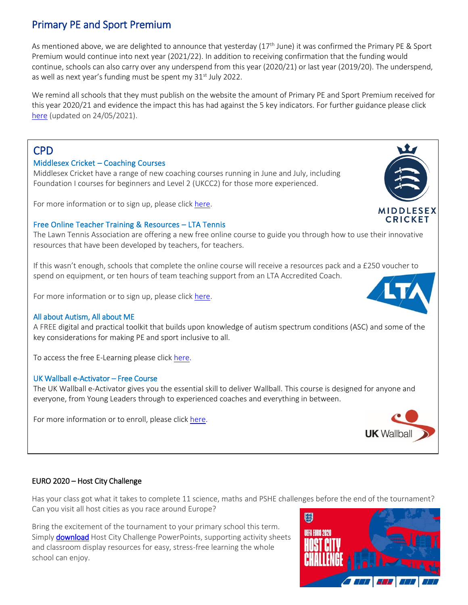# Primary PE and Sport Premium

As mentioned above, we are delighted to announce that yesterday (17<sup>th</sup> June) it was confirmed the Primary PE & Sport Premium would continue into next year (2021/22). In addition to receiving confirmation that the funding would continue, schools can also carry over any underspend from this year (2020/21) or last year (2019/20). The underspend, as well as next year's funding must be spent my  $31<sup>st</sup>$  July 2022.

We remind all schools that they must publish on the website the amount of Primary PE and Sport Premium received for this year 2020/21 and evidence the impact this has had against the 5 key indicators. For further guidance please click [here](https://www.afpe.org.uk/physical-education/evidencing-the-impact-guidance-template/) (updated on 24/05/2021).

### CPD

#### Middlesex Cricket – Coaching Courses

Middlesex Cricket have a range of new coaching courses running in June and July, including Foundation I courses for beginners and Level 2 (UKCC2) for those more experienced.

For more information or to sign up, please click [here.](https://www.middlesexccc.com/page/coach-development-courses)

#### Free Online Teacher Training & Resources – LTA Tennis

The Lawn Tennis Association are offering a new free online course to guide you through how to use their innovative resources that have been developed by teachers, for teachers.

If this wasn't enough, schools that complete the online course will receive a resources pack and a £250 voucher to spend on equipment, or ten hours of team teaching support from an LTA Accredited Coach.

For more information or to sign up, please clic[k here.](https://lta-tennis.force.com/schools/s/)

#### All about Autism, All about ME

A FREE digital and practical toolkit that builds upon knowledge of autism spectrum conditions (ASC) and some of the key considerations for making PE and sport inclusive to all.

To access the free E-Learning please clic[k here.](https://www.youthsporttrust.org/all-about-autism-all-about-me)

#### UK Wallball e-Activator – Free Course

The UK Wallball e-Activator gives you the essential skill to deliver Wallball. This course is designed for anyone and everyone, from Young Leaders through to experienced coaches and everything in between.

For more information or to enroll, please clic[k here.](https://ukwallball.thinkific.com/courses/uk-wallball-e-activator)

#### EURO 2020 – Host City Challenge

Has your class got what it takes to complete 11 science, maths and PSHE challenges before the end of the tournament? Can you visit all host cities as you race around Europe?

Bring the excitement of the tournament to your primary school this term. Simply **download** Host City Challenge PowerPoints, supporting activity sheets and classroom display resources for easy, stress-free learning the whole school can enjoy.







**UK Wallball** 

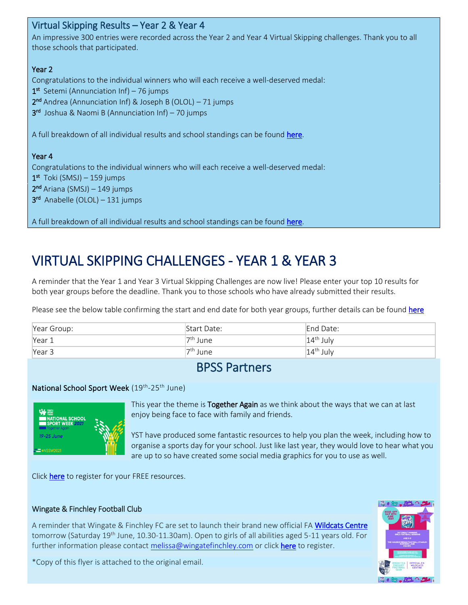| Virtual Skipping Results – Year 2 & Year 4                                                                         |
|--------------------------------------------------------------------------------------------------------------------|
| An impressive 300 entries were recorded across the Year 2 and Year 4 Virtual Skipping challenges. Thank you to all |
| those schools that participated.                                                                                   |
|                                                                                                                    |
| Year 2                                                                                                             |
| Congratulations to the individual winners who will each receive a well-deserved medal:                             |
| $1st$ Setemi (Annunciation Inf) – 76 jumps                                                                         |
| $2^{nd}$ Andrea (Annunciation Inf) & Joseph B (OLOL) - 71 jumps                                                    |
| $3rd$ Joshua & Naomi B (Annunciation Inf) – 70 jumps                                                               |
|                                                                                                                    |
| A full breakdown of all individual results and school standings can be found here.                                 |
|                                                                                                                    |
| Year 4                                                                                                             |
| Congratulations to the individual winners who will each receive a well-deserved medal:                             |
| $1st$ Toki (SMSJ) – 159 jumps                                                                                      |
| $2nd$ Ariana (SMSJ) – 149 jumps                                                                                    |
| $3rd$ Anabelle (OLOL) – 131 jumps                                                                                  |
|                                                                                                                    |
|                                                                                                                    |

# VIRTUAL SKIPPING CHALLENGES - YEAR 1 & YEAR 3

A reminder that the Year 1 and Year 3 Virtual Skipping Challenges are now live! Please enter your top 10 results for both year groups before the deadline. Thank you to those schools who have already submitted their results.

Please see the below table confirming the start and end date for both year groups, further details can be foun[d here](https://www.barnetpartnershipforschoolsport.co.uk/challenges)

| Year Group: | Start Date:          | End Date:   |
|-------------|----------------------|-------------|
| Year 1      | <sup>'7th</sup> June | $14th$ July |
| Year 3      | <sup>'7th</sup> June | $14th$ July |

# BPSS Partners

#### National School Sport Week (19<sup>th</sup>-25<sup>th</sup> June)



This year the theme is Together Again as we think about the ways that we can at last enjoy being face to face with family and friends.

YST have produced some fantastic resources to help you plan the week, including how to organise a sports day for your school. Just like last year, they would love to hear what you are up to so have created some social media graphics for you to use as well.

Click [here](https://comms.youthsporttrust.org/e/821183/-us-national-school-sport-week/71s4b/359837515?h=hWK-y0rCMST4AwHnFEPwerhPWvSyWM1mrAl4NAhiq4M) to register for your FREE resources.

#### Wingate & Finchley Football Club

A reminder that Wingate & Finchley FC are set to launch their brand new official FA [Wildcats Centre](https://www.thefa.com/womens-girls-football/get-involved/girls/fun/wildcats) tomorrow (Saturday 19<sup>th</sup> June, 10.30-11.30am). Open to girls of all abilities aged 5-11 years old. For further information please contact [melissa@wingatefinchley.com](mailto:melissa@wingatefinchley.com) or click [here](http://www.wingatefinchley.com/wildcats) to register.



\*Copy of this flyer is attached to the original email.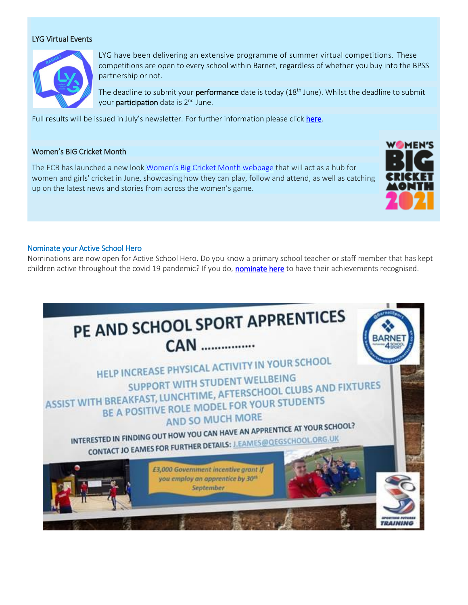#### LYG Virtual Events



LYG have been delivering an extensive programme of summer virtual competitions. These competitions are open to every school within Barnet, regardless of whether you buy into the BPSS partnership or not.

The deadline to submit your performance date is today (18<sup>th</sup> June). Whilst the deadline to submit your **participation** data is 2<sup>nd</sup> June.

Full results will be issued in July's newsletter. For further information please clic[k here.](https://www.barnetpartnershipforschoolsport.co.uk/school-games/school-games-mark/22723/lyg-virtual-competitions-summer-2021)

#### Women's BIG Cricket Month

The ECB has launched a new look [Women's Big Cricket Month webpage](https://www.ecb.co.uk/play/women-and-girls/womens-big-cricket-month?utm_campaign=12394653_Women%27s%20Big%20Cricket%20Month%20-%20Registrations%20are%20Open%21&utm_medium=Email&utm_source=Email_AdHoc&email=@HASHEDEMAIL@&dm_i=1FT6,7DNRX,PFN9RI,TYG8X,1) that will act as a hub for women and girls' cricket in June, showcasing how they can play, follow and attend, as well as catching up on the latest news and stories from across the women's game.



#### Nominate your Active School Hero

Nominations are now open for Active School Hero. Do you know a primary school teacher or staff member that has kept children active throughout the covid 19 pandemic? If you do, [nominate here](https://activeschoolhero.com/nominate/) to have their achievements recognised.